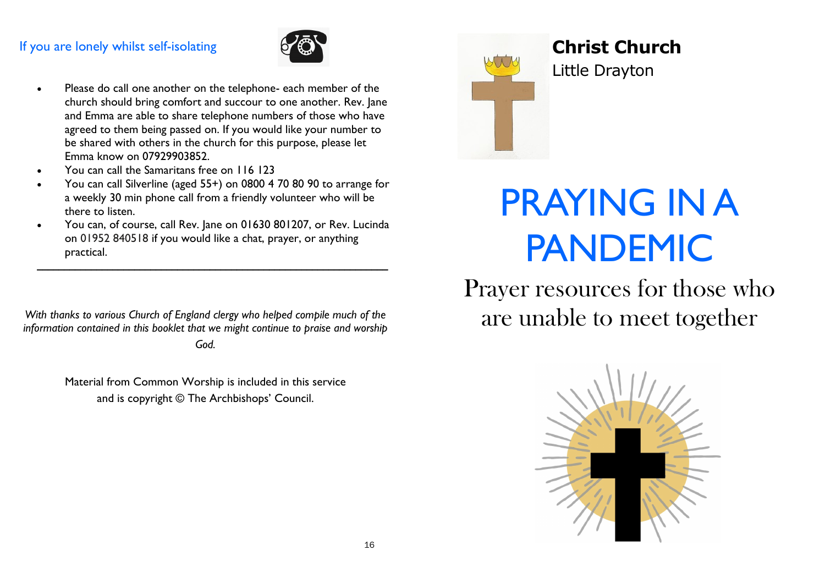# If you are lonely whilst self-isolating



- Please do call one another on the telephone- each member of the church should bring comfort and succour to one another. Rev. Jane and Emma are able to share telephone numbers of those who have agreed to them being passed on. If you would like your number to be shared with others in the church for this purpose, please let Emma know on 07929903852.
- You can call the Samaritans free on 116 123
- You can call Silverline (aged 55+) on 0800 4 70 80 90 to arrange for a weekly 30 min phone call from a friendly volunteer who will be there to listen.
- You can, of course, call Rev. Jane on 01630 801207, or Rev. Lucinda on 01952 840518 if you would like a chat, prayer, or anything practical.

\_\_\_\_\_\_\_\_\_\_\_\_\_\_\_\_\_\_\_\_\_\_\_\_\_\_\_\_\_\_\_\_\_\_\_\_\_\_\_\_\_\_\_\_\_\_\_\_\_\_\_\_\_\_\_\_\_\_\_\_\_\_\_\_\_

*With thanks to various Church of England clergy who helped compile much of the information contained in this booklet that we might continue to praise and worship* 

*God.*

Material from Common Worship is included in this service and is copyright © The Archbishops' Council.



# **Christ Church**

Little Drayton

# Easter Sunday Service and **PRAYING IN A** PANDEMIC

Prayer resources for those who are unable to meet together

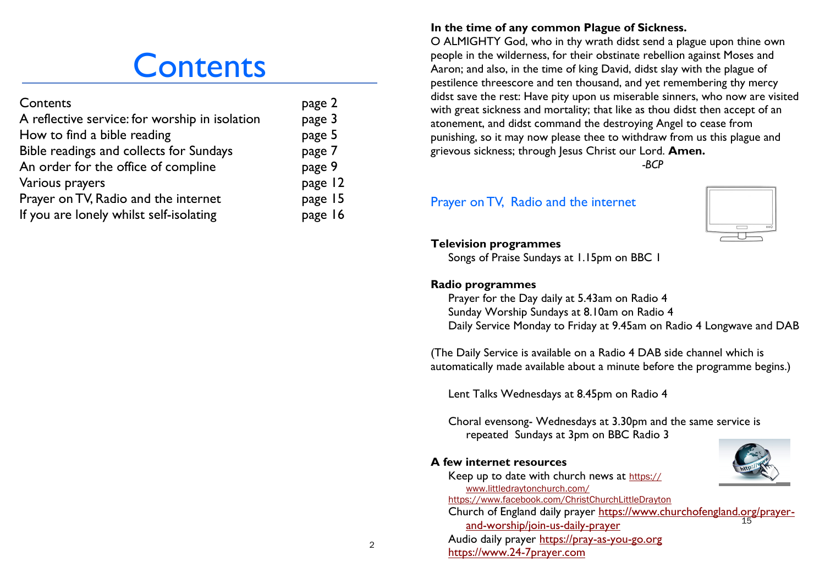# **Contents**

| Contents                                       | page 2  |
|------------------------------------------------|---------|
| A reflective service: for worship in isolation | page 3  |
| How to find a bible reading                    | page 5  |
| Bible readings and collects for Sundays        | page 7  |
| An order for the office of compline            | page 9  |
| Various prayers                                | page 12 |
| Prayer on TV, Radio and the internet           | page 15 |
| If you are lonely whilst self-isolating        | page 16 |

# **In the time of any common Plague of Sickness.**

O ALMIGHTY God, who in thy wrath didst send a plague upon thine own people in the wilderness, for their obstinate rebellion against Moses and Aaron; and also, in the time of king David, didst slay with the plague of pestilence threescore and ten thousand, and yet remembering thy mercy didst save the rest: Have pity upon us miserable sinners, who now are visited with great sickness and mortality; that like as thou didst then accept of an atonement, and didst command the destroying Angel to cease from punishing, so it may now please thee to withdraw from us this plague and grievous sickness; through Jesus Christ our Lord. **Amen.**

*-BCP*

# Prayer on TV, Radio and the internet



#### **Television programmes**

Songs of Praise Sundays at 1.15pm on BBC 1

# **Radio programmes**

Prayer for the Day daily at 5.43am on Radio 4 Sunday Worship Sundays at 8.10am on Radio 4 Daily Service Monday to Friday at 9.45am on Radio 4 Longwave and DAB

(The Daily Service is available on a Radio 4 DAB side channel which is automatically made available about a minute before the programme begins.)

Lent Talks Wednesdays at 8.45pm on Radio 4

Audio daily prayer<https://pray-as-you-go.org>

Choral evensong- Wednesdays at 3.30pm and the same service is repeated Sundays at 3pm on BBC Radio 3

### **A few internet resources**

[www.littledraytonchurch.com/](https://www.littledraytonchurch.com/)

<https://www.24-7prayer.com>



 $\mathfrak{D}$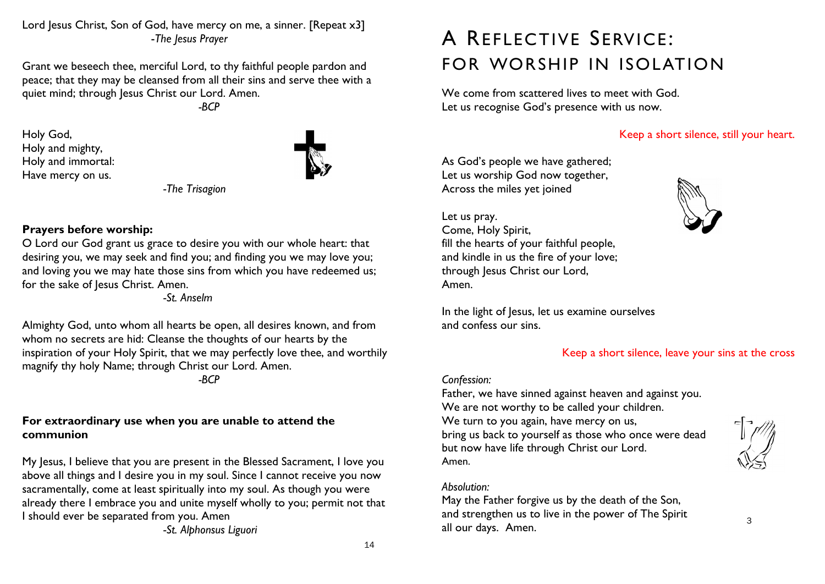Lord Jesus Christ, Son of God, have mercy on me, a sinner. [Repeat x3] -*The Jesus Prayer*

Grant we beseech thee, merciful Lord, to thy faithful people pardon and peace; that they may be cleansed from all their sins and serve thee with a quiet mind; through Jesus Christ our Lord. Amen.

*-BCP*

Holy God, Holy and mighty, Holy and immortal: Have mercy on us.



*-The Trisagion*

# **Prayers before worship:**

O Lord our God grant us grace to desire you with our whole heart: that desiring you, we may seek and find you; and finding you we may love you; and loving you we may hate those sins from which you have redeemed us; for the sake of Jesus Christ. Amen.

*-St. Anselm*

Almighty God, unto whom all hearts be open, all desires known, and from whom no secrets are hid: Cleanse the thoughts of our hearts by the inspiration of your Holy Spirit, that we may perfectly love thee, and worthily magnify thy holy Name; through Christ our Lord. Amen.

*-BCP*

# **For extraordinary use when you are unable to attend the communion**

My Jesus, I believe that you are present in the Blessed Sacrament, I love you above all things and I desire you in my soul. Since I cannot receive you now sacramentally, come at least spiritually into my soul. As though you were already there I embrace you and unite myself wholly to you; permit not that I should ever be separated from you. Amen

*-St. Alphonsus Liguori*

# A REFLECTIVE SERVICE: FOR WORSHIP IN ISOLATION

We come from scattered lives to meet with God. Let us recognise God's presence with us now.

# Keep a short silence, still your heart.

As God's people we have gathered; Let us worship God now together, Across the miles yet joined

Let us pray. Come, Holy Spirit, fill the hearts of your faithful people, and kindle in us the fire of your love; through Jesus Christ our Lord, Amen.

In the light of Jesus, let us examine ourselves and confess our sins.

# Keep a short silence, leave your sins at the cross

# *Confession:*

Father, we have sinned against heaven and against you. We are not worthy to be called your children. We turn to you again, have mercy on us, bring us back to yourself as those who once were dead but now have life through Christ our Lord. Amen.



3

# *Absolution:*

May the Father forgive us by the death of the Son, and strengthen us to live in the power of The Spirit all our days. Amen.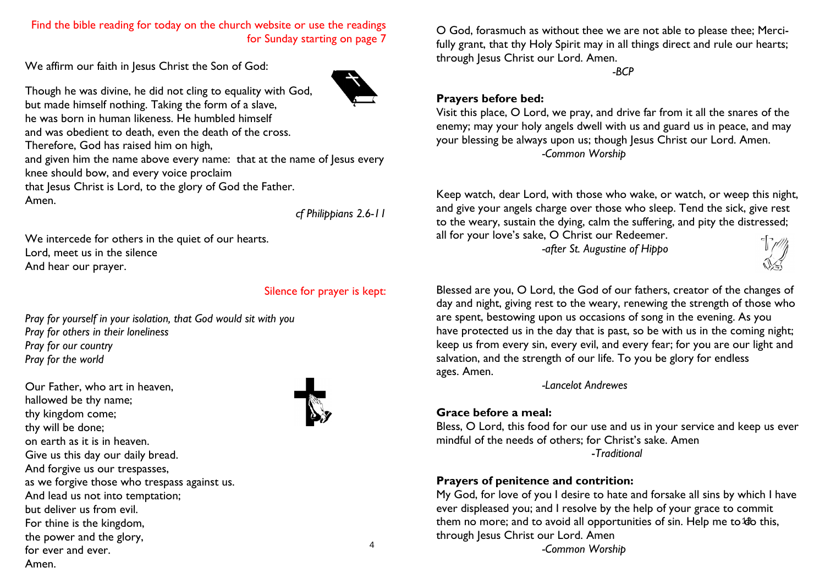#### Find the bible reading for today on the church website or use the readings for Sunday starting on page 7

We affirm our faith in Jesus Christ the Son of God:

Though he was divine, he did not cling to equality with God, but made himself nothing. Taking the form of a slave, he was born in human likeness. He humbled himself and was obedient to death, even the death of the cross. Therefore, God has raised him on high, and given him the name above every name: that at the name of Jesus every knee should bow, and every voice proclaim that Jesus Christ is Lord, to the glory of God the Father. Amen.

*cf Philippians 2.6-11*

We intercede for others in the quiet of our hearts. Lord, meet us in the silence And hear our prayer.

#### Silence for prayer is kept:

*Pray for yourself in your isolation, that God would sit with you Pray for others in their loneliness Pray for our country Pray for the world*

Our Father, who art in heaven, hallowed be thy name; thy kingdom come; thy will be done; on earth as it is in heaven. Give us this day our daily bread. And forgive us our trespasses, as we forgive those who trespass against us. And lead us not into temptation; but deliver us from evil. For thine is the kingdom, the power and the glory, for ever and ever. Amen.



O God, forasmuch as without thee we are not able to please thee; Mercifully grant, that thy Holy Spirit may in all things direct and rule our hearts; through Jesus Christ our Lord. Amen.

*-BCP*

## **Prayers before bed:**

Visit this place, O Lord, we pray, and drive far from it all the snares of the enemy; may your holy angels dwell with us and guard us in peace, and may your blessing be always upon us; though Jesus Christ our Lord. Amen. *-Common Worship*

Keep watch, dear Lord, with those who wake, or watch, or weep this night, and give your angels charge over those who sleep. Tend the sick, give rest to the weary, sustain the dying, calm the suffering, and pity the distressed; all for your love's sake, O Christ our Redeemer.

*-after St. Augustine of Hippo*



Blessed are you, O Lord, the God of our fathers, creator of the changes of day and night, giving rest to the weary, renewing the strength of those who are spent, bestowing upon us occasions of song in the evening. As you have protected us in the day that is past, so be with us in the coming night; keep us from every sin, every evil, and every fear; for you are our light and salvation, and the strength of our life. To you be glory for endless ages. Amen.

*-Lancelot Andrewes*

# **Grace before a meal:**

Bless, O Lord, this food for our use and us in your service and keep us ever mindful of the needs of others; for Christ's sake. Amen -*Traditional*

# **Prayers of penitence and contrition:**

them no more; and to avoid all opportunities of sin. Help me to to this, My God, for love of you I desire to hate and forsake all sins by which I have ever displeased you; and I resolve by the help of your grace to commit through Jesus Christ our Lord. Amen *-Common Worship*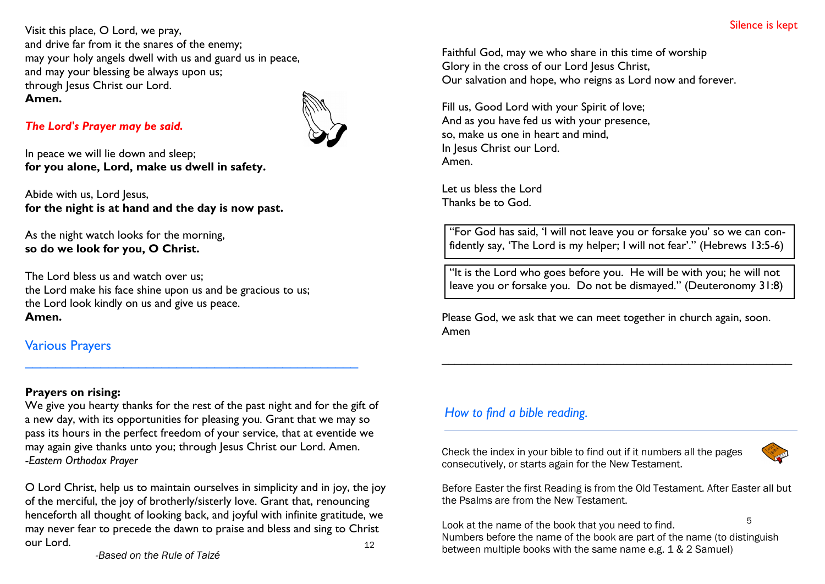Visit this place, O Lord, we pray, and drive far from it the snares of the enemy; may your holy angels dwell with us and guard us in peace, and may your blessing be always upon us; through Jesus Christ our Lord. **Amen.**

# *The Lord's Prayer may be said.*

In peace we will lie down and sleep; **for you alone, Lord, make us dwell in safety.**

Abide with us, Lord Jesus, **for the night is at hand and the day is now past.**

As the night watch looks for the morning, **so do we look for you, O Christ.**

The Lord bless us and watch over us; the Lord make his face shine upon us and be gracious to us; the Lord look kindly on us and give us peace. **Amen.**

# Various Prayers

# **Prayers on rising:**

We give you hearty thanks for the rest of the past night and for the gift of a new day, with its opportunities for pleasing you. Grant that we may so pass its hours in the perfect freedom of your service, that at eventide we may again give thanks unto you; through Jesus Christ our Lord. Amen. -*Eastern Orthodox Prayer*

 $\overline{a_1}$  ,  $\overline{a_2}$  ,  $\overline{a_3}$  ,  $\overline{a_4}$  ,  $\overline{a_5}$  ,  $\overline{a_6}$  ,  $\overline{a_7}$  ,  $\overline{a_8}$  ,  $\overline{a_9}$  ,  $\overline{a_9}$  ,  $\overline{a_9}$  ,  $\overline{a_9}$  ,  $\overline{a_9}$  ,  $\overline{a_9}$  ,  $\overline{a_9}$  ,  $\overline{a_9}$  ,  $\overline{a_9}$  ,

12 O Lord Christ, help us to maintain ourselves in simplicity and in joy, the joy of the merciful, the joy of brotherly/sisterly love. Grant that, renouncing henceforth all thought of looking back, and joyful with infinite gratitude, we may never fear to precede the dawn to praise and bless and sing to Christ our Lord.

Faithful God, may we who share in this time of worship Glory in the cross of our Lord Jesus Christ, Our salvation and hope, who reigns as Lord now and forever.

Fill us, Good Lord with your Spirit of love; And as you have fed us with your presence, so, make us one in heart and mind, In Jesus Christ our Lord. Amen.

Let us bless the Lord Thanks be to God.

"For God has said, 'I will not leave you or forsake you' so we can confidently say, 'The Lord is my helper; I will not fear'." (Hebrews 13:5-6)

"It is the Lord who goes before you. He will be with you; he will not leave you or forsake you. Do not be dismayed." (Deuteronomy 31:8)

Please God, we ask that we can meet together in church again, soon. Amen

\_\_\_\_\_\_\_\_\_\_\_\_\_\_\_\_\_\_\_\_\_\_\_\_\_\_\_\_\_\_\_\_\_\_\_\_\_\_\_\_\_\_\_\_\_\_\_\_\_\_\_\_\_\_

# *How to find a bible reading.*

Check the index in your bible to find out if it numbers all the pages consecutively, or starts again for the New Testament.



Before Easter the first Reading is from the Old Testament. After Easter all but the Psalms are from the New Testament.

5 Look at the name of the book that you need to find. Numbers before the name of the book are part of the name (to distinguish between multiple books with the same name e.g. 1 & 2 Samuel)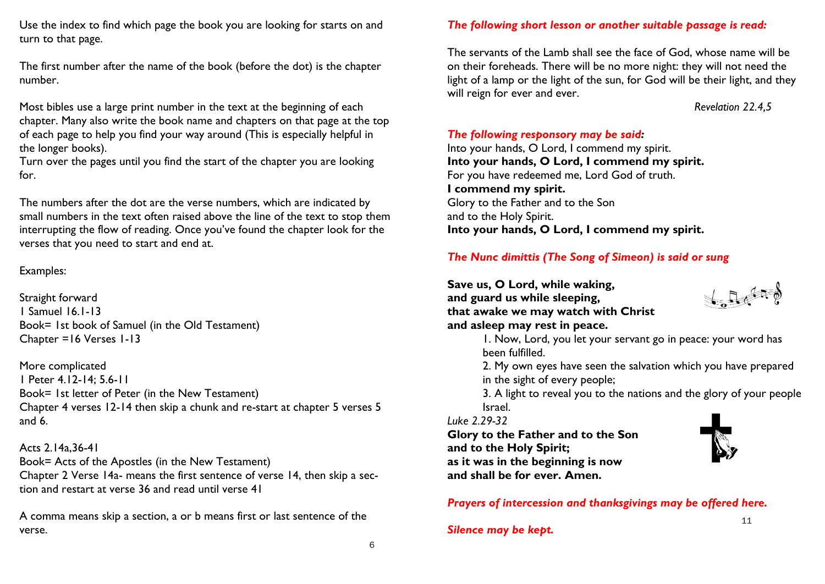Use the index to find which page the book you are looking for starts on and turn to that page.

The first number after the name of the book (before the dot) is the chapter number.

Most bibles use a large print number in the text at the beginning of each chapter. Many also write the book name and chapters on that page at the top of each page to help you find your way around (This is especially helpful in the longer books).

Turn over the pages until you find the start of the chapter you are looking for.

The numbers after the dot are the verse numbers, which are indicated by small numbers in the text often raised above the line of the text to stop them interrupting the flow of reading. Once you've found the chapter look for the verses that you need to start and end at.

# Examples:

Straight forward 1 Samuel 16.1-13 Book= 1st book of Samuel (in the Old Testament) Chapter =16 Verses 1-13

More complicated 1 Peter 4.12-14; 5.6-11 Book= 1st letter of Peter (in the New Testament) Chapter 4 verses 12-14 then skip a chunk and re-start at chapter 5 verses 5 and 6.

Acts 2.14a,36-41 Book= Acts of the Apostles (in the New Testament) Chapter 2 Verse 14a- means the first sentence of verse 14, then skip a section and restart at verse 36 and read until verse 41

A comma means skip a section, a or b means first or last sentence of the verse.

# *The following short lesson or another suitable passage is read:*

The servants of the Lamb shall see the face of God, whose name will be on their foreheads. There will be no more night: they will not need the light of a lamp or the light of the sun, for God will be their light, and they will reign for ever and ever.

# *Revelation 22.4,5*

*The following responsory may be said:* Into your hands, O Lord, I commend my spirit. **Into your hands, O Lord, I commend my spirit.** For you have redeemed me, Lord God of truth. **I commend my spirit.** Glory to the Father and to the Son and to the Holy Spirit. **Into your hands, O Lord, I commend my spirit.**

# *The Nunc dimittis (The Song of Simeon) is said or sung*

**Save us, O Lord, while waking, and guard us while sleeping, that awake we may watch with Christ and asleep may rest in peace.**



1. Now, Lord, you let your servant go in peace: your word has been fulfilled.

2. My own eyes have seen the salvation which you have prepared in the sight of every people;

3. A light to reveal you to the nations and the glory of your people Israel.

*Luke 2.29-32*

**Glory to the Father and to the Son**

**and to the Holy Spirit; as it was in the beginning is now and shall be for ever. Amen.**



*Prayers of intercession and thanksgivings may be offered here.*

*Silence may be kept.*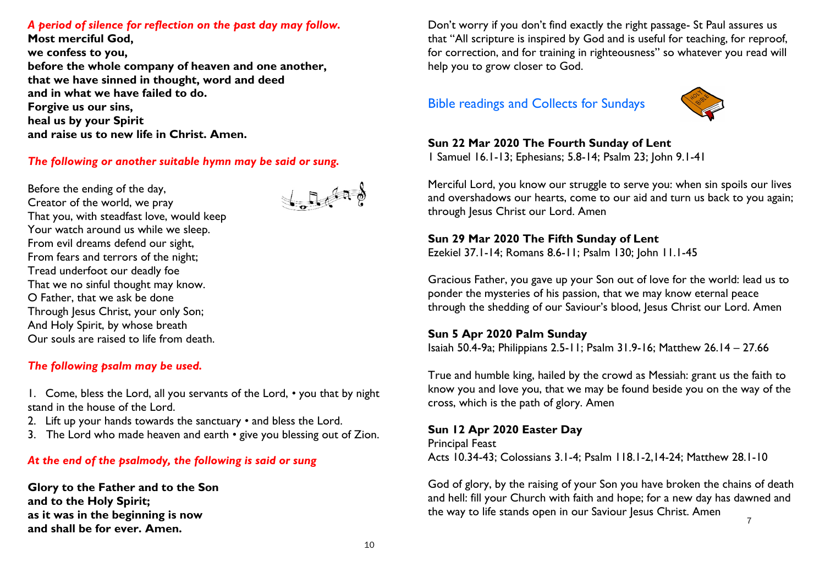## *A period of silence for reflection on the past day may follow.*

**Most merciful God, we confess to you, before the whole company of heaven and one another, that we have sinned in thought, word and deed and in what we have failed to do. Forgive us our sins, heal us by your Spirit and raise us to new life in Christ. Amen.**

#### *The following or another suitable hymn may be said or sung.*

Before the ending of the day, Creator of the world, we pray That you, with steadfast love, would keep Your watch around us while we sleep. From evil dreams defend our sight, From fears and terrors of the night; Tread underfoot our deadly foe That we no sinful thought may know. O Father, that we ask be done Through Jesus Christ, your only Son; And Holy Spirit, by whose breath Our souls are raised to life from death.

#### *The following psalm may be used.*

1. Come, bless the Lord, all you servants of the Lord, *•* you that by night stand in the house of the Lord.

- 2. Lift up your hands towards the sanctuary *•* and bless the Lord.
- 3. The Lord who made heaven and earth *•* give you blessing out of Zion.

### *At the end of the psalmody, the following is said or sung*

**Glory to the Father and to the Son and to the Holy Spirit; as it was in the beginning is now and shall be for ever. Amen.**

Don't worry if you don't find exactly the right passage- St Paul assures us that "All scripture is inspired by God and is useful for teaching, for reproof, for correction, and for training in righteousness" so whatever you read will help you to grow closer to God.

# Bible readings and Collects for Sundays



# **Sun 22 Mar 2020 The Fourth Sunday of Lent**

1 Samuel 16.1-13; Ephesians; 5.8-14; Psalm 23; John 9.1-41

Merciful Lord, you know our struggle to serve you: when sin spoils our lives and overshadows our hearts, come to our aid and turn us back to you again; through Jesus Christ our Lord. Amen

# **Sun 29 Mar 2020 The Fifth Sunday of Lent**

Ezekiel 37.1-14; Romans 8.6-11; Psalm 130; John 11.1-45

Gracious Father, you gave up your Son out of love for the world: lead us to ponder the mysteries of his passion, that we may know eternal peace through the shedding of our Saviour's blood, Jesus Christ our Lord. Amen

#### **Sun 5 Apr 2020 Palm Sunday**

Isaiah 50.4-9a; Philippians 2.5-11; Psalm 31.9-16; Matthew 26.14 – 27.66

True and humble king, hailed by the crowd as Messiah: grant us the faith to know you and love you, that we may be found beside you on the way of the cross, which is the path of glory. Amen

#### **Sun 12 Apr 2020 Easter Day**

Principal Feast Acts 10.34-43; Colossians 3.1-4; Psalm 118.1-2,14-24; Matthew 28.1-10

God of glory, by the raising of your Son you have broken the chains of death and hell: fill your Church with faith and hope; for a new day has dawned and the way to life stands open in our Saviour Jesus Christ. Amen

 $\frac{1}{2}$